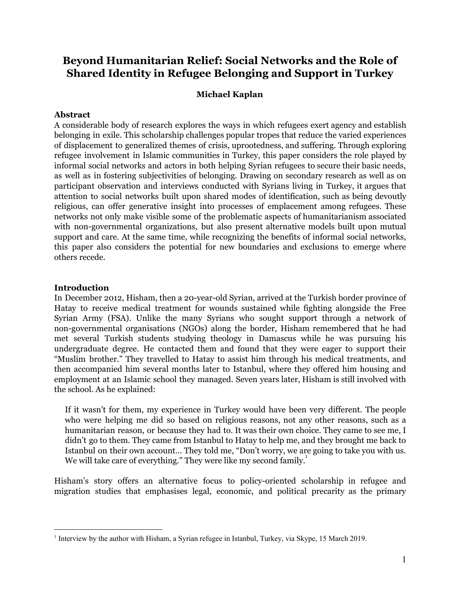# **Beyond Humanitarian Relief: Social Networks and the Role of Shared Identity in Refugee Belonging and Support in Turkey**

# **Michael Kaplan**

#### **Abstract**

A considerable body of research explores the ways in which refugees exert agency and establish belonging in exile. This scholarship challenges popular tropes that reduce the varied experiences of displacement to generalized themes of crisis, uprootedness, and suffering. Through exploring refugee involvement in Islamic communities in Turkey, this paper considers the role played by informal social networks and actors in both helping Syrian refugees to secure their basic needs, as well as in fostering subjectivities of belonging. Drawing on secondary research as well as on participant observation and interviews conducted with Syrians living in Turkey, it argues that attention to social networks built upon shared modes of identification, such as being devoutly religious, can offer generative insight into processes of emplacement among refugees. These networks not only make visible some of the problematic aspects of humanitarianism associated with non-governmental organizations, but also present alternative models built upon mutual support and care. At the same time, while recognizing the benefits of informal social networks, this paper also considers the potential for new boundaries and exclusions to emerge where others recede.

### **Introduction**

In December 2012, Hisham, then a 20-year-old Syrian, arrived at the Turkish border province of Hatay to receive medical treatment for wounds sustained while fighting alongside the Free Syrian Army (FSA). Unlike the many Syrians who sought support through a network of non-governmental organisations (NGOs) along the border, Hisham remembered that he had met several Turkish students studying theology in Damascus while he was pursuing his undergraduate degree. He contacted them and found that they were eager to support their "Muslim brother." They travelled to Hatay to assist him through his medical treatments, and then accompanied him several months later to Istanbul, where they offered him housing and employment at an Islamic school they managed. Seven years later, Hisham is still involved with the school. As he explained:

If it wasn't for them, my experience in Turkey would have been very different. The people who were helping me did so based on religious reasons, not any other reasons, such as a humanitarian reason, or because they had to. It was their own choice. They came to see me, I didn't go to them. They came from Istanbul to Hatay to help me, and they brought me back to Istanbul on their own account… They told me, "Don't worry, we are going to take you with us. We will take care of everything." They were like my second family.<sup>1</sup>

Hisham's story offers an alternative focus to policy-oriented scholarship in refugee and migration studies that emphasises legal, economic, and political precarity as the primary

<sup>&</sup>lt;sup>1</sup> Interview by the author with Hisham, a Syrian refugee in Istanbul, Turkey, via Skype, 15 March 2019.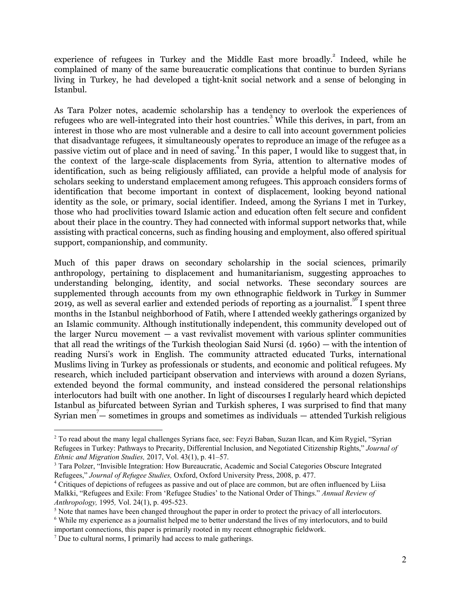experience of refugees in Turkey and the Middle East more broadly.<sup>2</sup> Indeed, while he complained of many of the same bureaucratic complications that continue to burden Syrians living in Turkey, he had developed a tight-knit social network and a sense of belonging in Istanbul.

As Tara Polzer notes, academic scholarship has a tendency to overlook the experiences of refugees who are well-integrated into their host countries.<sup>3</sup> While this derives, in part, from an interest in those who are most vulnerable and a desire to call into account government policies that disadvantage refugees, it simultaneously operates to reproduce an image of the refugee as a passive victim out of place and in need of saving.<sup>4</sup> In this paper, I would like to suggest that, in the context of the large-scale displacements from Syria, attention to alternative modes of identification, such as being religiously affiliated, can provide a helpful mode of analysis for scholars seeking to understand emplacement among refugees. This approach considers forms of identification that become important in context of displacement, looking beyond national identity as the sole, or primary, social identifier. Indeed, among the Syrians I met in Turkey, those who had proclivities toward Islamic action and education often felt secure and confident about their place in the country. They had connected with informal support networks that, while assisting with practical concerns, such as finding housing and employment, also offered spiritual support, companionship, and community.

Much of this paper draws on secondary scholarship in the social sciences, primarily anthropology, pertaining to displacement and humanitarianism, suggesting approaches to understanding belonging, identity, and social networks. These secondary sources are supplemented through accounts from my own ethnographic fieldwork in Turkey in Summer 2019, as well as several earlier and extended periods of reporting as a journalist.<sup>56</sup>I spent three months in the Istanbul neighborhood of Fatih, where I attended weekly gatherings organized by an Islamic community. Although institutionally independent, this community developed out of the larger Nurcu movement  $-$  a vast revivalist movement with various splinter communities that all read the writings of the Turkish theologian Said Nursi (d. 1960) — with the intention of reading Nursi's work in English. The community attracted educated Turks, international Muslims living in Turkey as professionals or students, and economic and political refugees. My research, which included participant observation and interviews with around a dozen Syrians, extended beyond the formal community, and instead considered the personal relationships interlocutors had built with one another. In light of discourses I regularly heard which depicted Istanbul as bifurcated between Syrian and Turkish spheres, I was surprised to find that many Syrian men<sup>7</sup> – sometimes in groups and sometimes as individuals – attended Turkish religious

<sup>&</sup>lt;sup>2</sup> To read about the many legal challenges Syrians face, see: Feyzi Baban, Suzan Ilcan, and Kim Rygiel, "Syrian Refugees in Turkey: Pathways to Precarity, Differential Inclusion, and Negotiated Citizenship Rights," *Journal of Ethnic and Migration Studies,* 2017, Vol. 43(1), p. 41–57.

<sup>&</sup>lt;sup>3</sup> Tara Polzer, "Invisible Integration: How Bureaucratic, Academic and Social Categories Obscure Integrated Refugees," *Journal of Refugee Studies,* Oxford, Oxford University Press, 2008, p. 477.

<sup>4</sup> Critiques of depictions of refugees as passive and out of place are common, but are often influenced by Liisa Malkki, "Refugees and Exile: From 'Refugee Studies' to the National Order of Things." *Annual Review of Anthropology,* 1995*,* Vol. 24(1), p. 495-523.

<sup>&</sup>lt;sup>5</sup> Note that names have been changed throughout the paper in order to protect the privacy of all interlocutors.

<sup>6</sup> While my experience as a journalist helped me to better understand the lives of my interlocutors, and to build important connections, this paper is primarily rooted in my recent ethnographic fieldwork.

<sup>7</sup> Due to cultural norms, I primarily had access to male gatherings.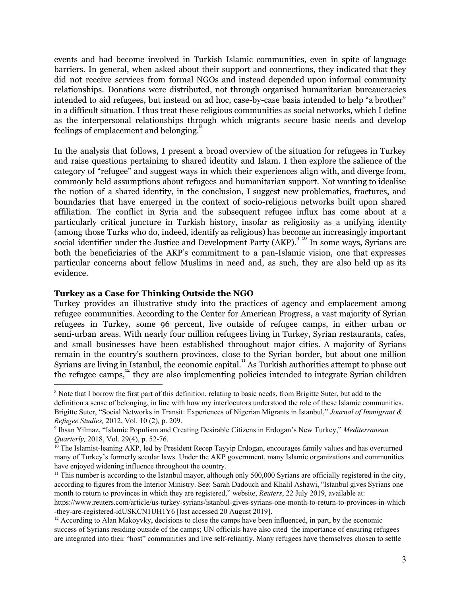events and had become involved in Turkish Islamic communities, even in spite of language barriers. In general, when asked about their support and connections, they indicated that they did not receive services from formal NGOs and instead depended upon informal community relationships. Donations were distributed, not through organised humanitarian bureaucracies intended to aid refugees, but instead on ad hoc, case-by-case basis intended to help "a brother" in a difficult situation. I thus treat these religious communities as social networks, which I define as the interpersonal relationships through which migrants secure basic needs and develop feelings of emplacement and belonging.<sup>8</sup>

In the analysis that follows, I present a broad overview of the situation for refugees in Turkey and raise questions pertaining to shared identity and Islam. I then explore the salience of the category of "refugee" and suggest ways in which their experiences align with, and diverge from, commonly held assumptions about refugees and humanitarian support. Not wanting to idealise the notion of a shared identity, in the conclusion, I suggest new problematics, fractures, and boundaries that have emerged in the context of socio-religious networks built upon shared affiliation. The conflict in Syria and the subsequent refugee influx has come about at a particularly critical juncture in Turkish history, insofar as religiosity as a unifying identity (among those Turks who do, indeed, identify as religious) has become an increasingly important social identifier under the Justice and Development Party (AKP).  $9^{9}$  In some ways, Syrians are both the beneficiaries of the AKP's commitment to a pan-Islamic vision, one that expresses particular concerns about fellow Muslims in need and, as such, they are also held up as its evidence.

### **Turkey as a Case for Thinking Outside the NGO**

Turkey provides an illustrative study into the practices of agency and emplacement among refugee communities. According to the Center for American Progress, a vast majority of Syrian refugees in Turkey, some 96 percent, live outside of refugee camps, in either urban or semi-urban areas. With nearly four million refugees living in Turkey, Syrian restaurants, cafes, and small businesses have been established throughout major cities. A majority of Syrians remain in the country's southern provinces, close to the Syrian border, but about one million Syrians are living in Istanbul, the economic capital.<sup>11</sup> As Turkish authorities attempt to phase out the refugee camps,  $\frac{1}{2}$  they are also implementing policies intended to integrate Syrian children

<sup>8</sup> Note that I borrow the first part of this definition, relating to basic needs, from Brigitte Suter, but add to the definition a sense of belonging, in line with how my interlocutors understood the role of these Islamic communities. Brigitte Suter, "Social Networks in Transit: Experiences of Nigerian Migrants in Istanbul," *Journal of Immigrant & Refugee Studies,* 2012, Vol. 10 (2)*,* p. 209.

<sup>9</sup> Ihsan Yilmaz, "Islamic Populism and Creating Desirable Citizens in Erdogan's New Turkey," *Mediterranean Quarterly,* 2018, Vol. 29(4), p. 52-76.

<sup>&</sup>lt;sup>10</sup> The Islamist-leaning AKP, led by President Recep Tayyip Erdogan, encourages family values and has overturned many of Turkey's formerly secular laws. Under the AKP government, many Islamic organizations and communities have enjoyed widening influence throughout the country.

<sup>&</sup>lt;sup>11</sup> This number is according to the Istanbul mayor, although only 500,000 Syrians are officially registered in the city, according to figures from the Interior Ministry. See: Sarah Dadouch and Khalil Ashawi, "Istanbul gives Syrians one month to return to provinces in which they are registered," website, *Reuters*, 22 July 2019, available at:

https://www.reuters.com/article/us-turkey-syrians/istanbul-gives-syrians-one-month-to-return-to-provinces-in-which -they-are-registered-idUSKCN1UH1Y6 [last accessed 20 August 2019].

 $12$  According to Alan Makoyvky, decisions to close the camps have been influenced, in part, by the economic success of Syrians residing outside of the camps; UN officials have also cited the importance of ensuring refugees are integrated into their "host" communities and live self-reliantly. Many refugees have themselves chosen to settle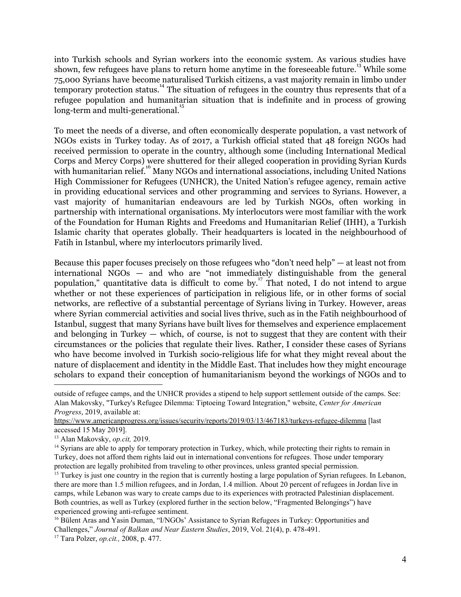into Turkish schools and Syrian workers into the economic system. As various studies have shown, few refugees have plans to return home anytime in the foreseeable future.<sup>13</sup> While some 75,000 Syrians have become naturalised Turkish citizens, a vast majority remain in limbo under temporary protection status.<sup>14</sup> The situation of refugees in the country thus represents that of a refugee population and humanitarian situation that is indefinite and in process of growing long-term and multi-generational.<sup>15</sup>

To meet the needs of a diverse, and often economically desperate population, a vast network of NGOs exists in Turkey today. As of 2017, a Turkish official stated that 48 foreign NGOs had received permission to operate in the country, although some (including International Medical Corps and Mercy Corps) were shuttered for their alleged cooperation in providing Syrian Kurds with humanitarian relief.<sup>16</sup> Many NGOs and international associations, including United Nations High Commissioner for Refugees (UNHCR), the United Nation's refugee agency, remain active in providing educational services and other programming and services to Syrians. However, a vast majority of humanitarian endeavours are led by Turkish NGOs, often working in partnership with international organisations. My interlocutors were most familiar with the work of the Foundation for Human Rights and Freedoms and Humanitarian Relief (IHH), a Turkish Islamic charity that operates globally. Their headquarters is located in the neighbourhood of Fatih in Istanbul, where my interlocutors primarily lived.

Because this paper focuses precisely on those refugees who "don't need help" — at least not from international NGOs — and who are "not immediately distinguishable from the general population," quantitative data is difficult to come by.<sup>17</sup> That noted, I do not intend to argue whether or not these experiences of participation in religious life, or in other forms of social networks, are reflective of a substantial percentage of Syrians living in Turkey. However, areas where Syrian commercial activities and social lives thrive, such as in the Fatih neighbourhood of Istanbul, suggest that many Syrians have built lives for themselves and experience emplacement and belonging in Turkey — which, of course, is not to suggest that they are content with their circumstances or the policies that regulate their lives. Rather, I consider these cases of Syrians who have become involved in Turkish socio-religious life for what they might reveal about the nature of displacement and identity in the Middle East. That includes how they might encourage scholars to expand their conception of humanitarianism beyond the workings of NGOs and to

outside of refugee camps, and the UNHCR provides a stipend to help support settlement outside of the camps. See: Alan Makovsky, "Turkey's Refugee Dilemma: Tiptoeing Toward Integration," website, *Center for American Progress*, 2019, available at:

<https://www.americanprogress.org/issues/security/reports/2019/03/13/467183/turkeys-refugee-dilemma> [last accessed 15 May 2019].

<sup>13</sup> Alan Makovsky, *op.cit,* 2019.

<sup>&</sup>lt;sup>14</sup> Syrians are able to apply for temporary protection in Turkey, which, while protecting their rights to remain in Turkey, does not afford them rights laid out in international conventions for refugees. Those under temporary protection are legally prohibited from traveling to other provinces, unless granted special permission.

<sup>&</sup>lt;sup>15</sup> Turkey is just one country in the region that is currently hosting a large population of Syrian refugees. In Lebanon, there are more than 1.5 million refugees, and in Jordan, 1.4 million. About 20 percent of refugees in Jordan live in camps, while Lebanon was wary to create camps due to its experiences with protracted Palestinian displacement. Both countries, as well as Turkey (explored further in the section below, "Fragmented Belongings") have experienced growing anti-refugee sentiment.

<sup>&</sup>lt;sup>16</sup> Bülent Aras and Yasin Duman, "I/NGOs' Assistance to Syrian Refugees in Turkey: Opportunities and Challenges," *Journal of Balkan and Near Eastern Studies*, 2019, Vol. 21(4), p. 478-491. <sup>17</sup> Tara Polzer, *op.cit.,* 2008, p. 477.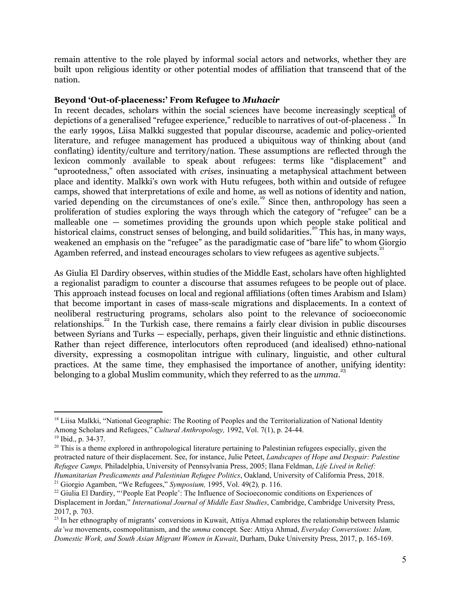remain attentive to the role played by informal social actors and networks, whether they are built upon religious identity or other potential modes of affiliation that transcend that of the nation.

## **Beyond 'Out-of-placeness:' From Refugee to** *Muhacir*

In recent decades, scholars within the social sciences have become increasingly sceptical of depictions of a generalised "refugee experience," reducible to narratives of out-of-placeness.<sup>18</sup> In the early 1990s, Liisa Malkki suggested that popular discourse, academic and policy-oriented literature, and refugee management has produced a ubiquitous way of thinking about (and conflating) identity/culture and territory/nation. These assumptions are reflected through the lexicon commonly available to speak about refugees: terms like "displacement" and "uprootedness," often associated with *crises*, insinuating a metaphysical attachment between place and identity. Malkki's own work with Hutu refugees, both within and outside of refugee camps, showed that interpretations of exile and home, as well as notions of identity and nation, varied depending on the circumstances of one's exile.<sup>19</sup> Since then, anthropology has seen a proliferation of studies exploring the ways through which the category of "refugee" can be a malleable one — sometimes providing the grounds upon which people stake political and historical claims, construct senses of belonging, and build solidarities.<sup>20</sup> This has, in many ways, weakened an emphasis on the "refugee" as the paradigmatic case of "bare life" to whom Giorgio Agamben referred, and instead encourages scholars to view refugees as agentive subjects.<sup>21</sup>

As Giulia El Dardiry observes, within studies of the Middle East, scholars have often highlighted a regionalist paradigm to counter a discourse that assumes refugees to be people out of place. This approach instead focuses on local and regional affiliations (often times Arabism and Islam) that become important in cases of mass-scale migrations and displacements. In a context of neoliberal restructuring programs, scholars also point to the relevance of socioeconomic relationships.<sup>22</sup> In the Turkish case, there remains a fairly clear division in public discourses between Syrians and Turks — especially, perhaps, given their linguistic and ethnic distinctions. Rather than reject difference, interlocutors often reproduced (and idealised) ethno-national diversity, expressing a cosmopolitan intrigue with culinary, linguistic, and other cultural practices. At the same time, they emphasised the importance of another, unifying identity: **belonging to a global Muslim community, which they referred to as the** *umma***.<sup>23</sup>** 

<sup>&</sup>lt;sup>18</sup> Liisa Malkki, "National Geographic: The Rooting of Peoples and the Territorialization of National Identity Among Scholars and Refugees," *Cultural Anthropology,* 1992, Vol. 7(1), p. 24-44.

<sup>19</sup> Ibid., p. 34-37.

 $20$  This is a theme explored in anthropological literature pertaining to Palestinian refugees especially, given the protracted nature of their displacement. See, for instance, Julie Peteet, *Landscapes of Hope and Despair: Palestine Refugee Camps,* Philadelphia, University of Pennsylvania Press, 2005; Ilana Feldman, *Life Lived in Relief: Humanitarian Predicaments and Palestinian Refugee Politics*, Oakland, University of California Press, 2018. <sup>21</sup> Giorgio Agamben, "We Refugees," *Symposium,* 1995, Vol. 49(2)*,* p. 116.

<sup>&</sup>lt;sup>22</sup> Giulia El Dardiry, "'People Eat People': The Influence of Socioeconomic conditions on Experiences of Displacement in Jordan," *International Journal of Middle East Studies*, Cambridge, Cambridge University Press, 2017, p. 703.

<sup>&</sup>lt;sup>23</sup> In her ethnography of migrants' conversions in Kuwait, Attiya Ahmad explores the relationship between Islamic *da'wa* movements, cosmopolitanism, and the *umma* concept. See: Attiya Ahmad, *Everyday Conversions: Islam, Domestic Work, and South Asian Migrant Women in Kuwait*, Durham, Duke University Press, 2017, p. 165-169.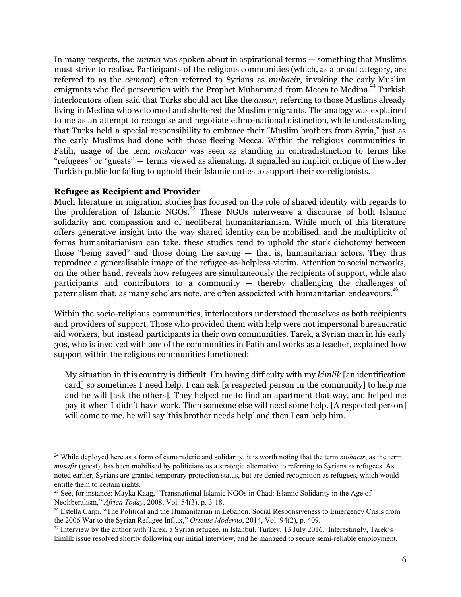In many respects, the *umma* was spoken about in aspirational terms — something that Muslims must strive to realise. Participants of the religious communities (which, as a broad category, are referred to as the *cemaat*) often referred to Syrians as *muhacir*, invoking the early Muslim emigrants who fled persecution with the Prophet Muhammad from Mecca to Medina.<sup>24</sup> Turkish interlocutors often said that Turks should act like the *ansar*, referring to those Muslims already living in Medina who welcomed and sheltered the Muslim emigrants. The analogy was explained to me as an attempt to recognise and negotiate ethno-national distinction, while understanding that Turks held a special responsibility to embrace their "Muslim brothers from Syria," just as the early Muslims had done with those fleeing Mecca. Within the religious communities in Fatih, usage of the term *muhacir* was seen as standing in contradistinction to terms like "refugees" or "guests" — terms viewed as alienating. It signalled an implicit critique of the wider Turkish public for failing to uphold their Islamic duties to support their co-religionists.

### **Refugee as Recipient and Provider**

Much literature in migration studies has focused on the role of shared identity with regards to the proliferation of Islamic NGOs.<sup>25</sup> These NGOs interweave a discourse of both Islamic solidarity and compassion and of neoliberal humanitarianism. While much of this literature offers generative insight into the way shared identity can be mobilised, and the multiplicity of forms humanitarianism can take, these studies tend to uphold the stark dichotomy between those "being saved" and those doing the saving — that is, humanitarian actors. They thus reproduce a generalisable image of the refugee-as-helpless-victim. Attention to social networks, on the other hand, reveals how refugees are simultaneously the recipients of support, while also participants and contributors to a community — thereby challenging the challenges of paternalism that, as many scholars note, are often associated with humanitarian endeavours.<sup>26</sup>

Within the socio-religious communities, interlocutors understood themselves as both recipients and providers of support. Those who provided them with help were not impersonal bureaucratic aid workers, but instead participants in their own communities. Tarek, a Syrian man in his early 30s, who is involved with one of the communities in Fatih and works as a teacher, explained how support within the religious communities functioned:

My situation in this country is difficult. I'm having difficulty with my *kimlik* [an identification card] so sometimes I need help. I can ask [a respected person in the community] to help me and he will [ask the others]. They helped me to find an apartment that way, and helped me pay it when I didn't have work. Then someone else will need some help. [A respected person] will come to me, he will say 'this brother needs help' and then I can help him.<sup>27</sup>

<sup>&</sup>lt;sup>24</sup> While deployed here as a form of camaraderie and solidarity, it is worth noting that the term *muhacir*, as the term *musafir* (guest), has been mobilised by politicians as a strategic alternative to referring to Syrians as refugees. As noted earlier, Syrians are granted temporary protection status, but are denied recognition as refugees, which would entitle them to certain rights.

<sup>25</sup> See, for instance: Mayka Kaag, "Transnational Islamic NGOs in Chad: Islamic Solidarity in the Age of Neoliberalism," *Africa Today*, 2008, Vol. 54(3), p. 3-18.

<sup>&</sup>lt;sup>26</sup> Estella Carpi, "The Political and the Humanitarian in Lebanon. Social Responsiveness to Emergency Crisis from the 2006 War to the Syrian Refugee Influx," *Oriente Moderno*, 2014, Vol. 94(2), p. 409.

<sup>&</sup>lt;sup>27</sup> Interview by the author with Tarek, a Syrian refugee, in Istanbul, Turkey, 13 July 2016. Interestingly, Tarek's kimlik issue resolved shortly following our initial interview, and he managed to secure semi-reliable employment.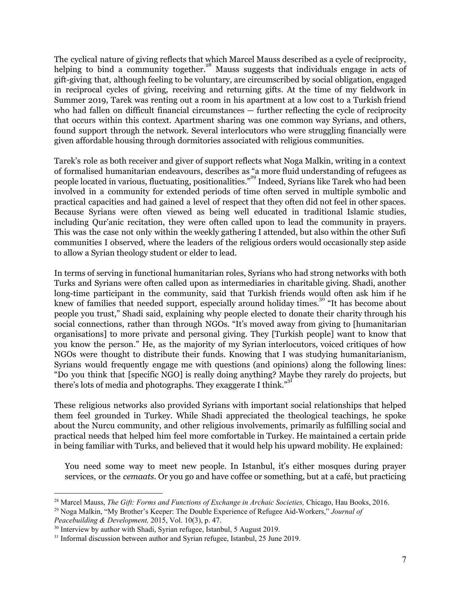The cyclical nature of giving reflects that which Marcel Mauss described as a cycle of reciprocity, helping to bind a community together.<sup>28</sup> Mauss suggests that individuals engage in acts of gift-giving that, although feeling to be voluntary, are circumscribed by social obligation, engaged in reciprocal cycles of giving, receiving and returning gifts. At the time of my fieldwork in Summer 2019, Tarek was renting out a room in his apartment at a low cost to a Turkish friend who had fallen on difficult financial circumstances — further reflecting the cycle of reciprocity that occurs within this context. Apartment sharing was one common way Syrians, and others, found support through the network. Several interlocutors who were struggling financially were given affordable housing through dormitories associated with religious communities.

Tarek's role as both receiver and giver of support reflects what Noga Malkin, writing in a context of formalised humanitarian endeavours, describes as "a more fluid understanding of refugees as people located in various, fluctuating, positionalities."<sup>29</sup> Indeed, Syrians like Tarek who had been involved in a community for extended periods of time often served in multiple symbolic and practical capacities and had gained a level of respect that they often did not feel in other spaces. Because Syrians were often viewed as being well educated in traditional Islamic studies, including Qur'anic recitation, they were often called upon to lead the community in prayers. This was the case not only within the weekly gathering I attended, but also within the other Sufi communities I observed, where the leaders of the religious orders would occasionally step aside to allow a Syrian theology student or elder to lead.

In terms of serving in functional humanitarian roles, Syrians who had strong networks with both Turks and Syrians were often called upon as intermediaries in charitable giving. Shadi, another long-time participant in the community, said that Turkish friends would often ask him if he knew of families that needed support, especially around holiday times.<sup>30</sup> "It has become about people you trust," Shadi said, explaining why people elected to donate their charity through his social connections, rather than through NGOs. "It's moved away from giving to [humanitarian organisations] to more private and personal giving. They [Turkish people] want to know that you know the person." He, as the majority of my Syrian interlocutors, voiced critiques of how NGOs were thought to distribute their funds. Knowing that I was studying humanitarianism, Syrians would frequently engage me with questions (and opinions) along the following lines: "Do you think that [specific NGO] is really doing anything? Maybe they rarely do projects, but there's lots of media and photographs. They exaggerate I think."<sup>31</sup>

These religious networks also provided Syrians with important social relationships that helped them feel grounded in Turkey. While Shadi appreciated the theological teachings, he spoke about the Nurcu community, and other religious involvements, primarily as fulfilling social and practical needs that helped him feel more comfortable in Turkey. He maintained a certain pride in being familiar with Turks, and believed that it would help his upward mobility. He explained:

You need some way to meet new people. In Istanbul, it's either mosques during prayer services, or the *cemaats*. Or you go and have coffee or something, but at a café, but practicing

<sup>28</sup> Marcel Mauss, *The Gift: Forms and Functions of Exchange in Archaic Societies,* Chicago, Hau Books, 2016.

<sup>29</sup> Noga Malkin, "My Brother's Keeper: The Double Experience of Refugee Aid-Workers," *Journal of*

*Peacebuilding & Development,* 2015, Vol. 10(3), p. 47.

<sup>&</sup>lt;sup>30</sup> Interview by author with Shadi, Syrian refugee, Istanbul, 5 August 2019.

<sup>&</sup>lt;sup>31</sup> Informal discussion between author and Syrian refugee, Istanbul, 25 June 2019.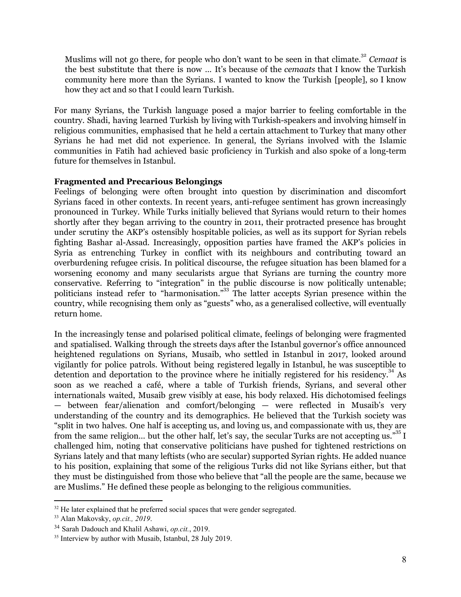Muslims will not go there, for people who don't want to be seen in that climate.<sup>32</sup> Cemaat is the best substitute that there is now … It's because of the *cemaats* that I know the Turkish community here more than the Syrians. I wanted to know the Turkish [people], so I know how they act and so that I could learn Turkish.

For many Syrians, the Turkish language posed a major barrier to feeling comfortable in the country. Shadi, having learned Turkish by living with Turkish-speakers and involving himself in religious communities, emphasised that he held a certain attachment to Turkey that many other Syrians he had met did not experience. In general, the Syrians involved with the Islamic communities in Fatih had achieved basic proficiency in Turkish and also spoke of a long-term future for themselves in Istanbul.

# **Fragmented and Precarious Belongings**

Feelings of belonging were often brought into question by discrimination and discomfort Syrians faced in other contexts. In recent years, anti-refugee sentiment has grown increasingly pronounced in Turkey. While Turks initially believed that Syrians would return to their homes shortly after they began arriving to the country in 2011, their protracted presence has brought under scrutiny the AKP's ostensibly hospitable policies, as well as its support for Syrian rebels fighting Bashar al-Assad. Increasingly, opposition parties have framed the AKP's policies in Syria as entrenching Turkey in conflict with its neighbours and contributing toward an overburdening refugee crisis. In political discourse, the refugee situation has been blamed for a worsening economy and many secularists argue that Syrians are turning the country more conservative. Referring to "integration" in the public discourse is now politically untenable; politicians instead refer to "harmonisation."<sup>33</sup> The latter accepts Syrian presence within the country, while recognising them only as "guests" who, as a generalised collective, will eventually return home.

In the increasingly tense and polarised political climate, feelings of belonging were fragmented and spatialised. Walking through the streets days after the Istanbul governor's office announced heightened regulations on Syrians, Musaib, who settled in Istanbul in 2017, looked around vigilantly for police patrols. Without being registered legally in Istanbul, he was susceptible to detention and deportation to the province where he initially registered for his residency.<sup>34</sup> As soon as we reached a café, where a table of Turkish friends, Syrians, and several other internationals waited, Musaib grew visibly at ease, his body relaxed. His dichotomised feelings — between fear/alienation and comfort/belonging — were reflected in Musaib's very understanding of the country and its demographics. He believed that the Turkish society was "split in two halves. One half is accepting us, and loving us, and compassionate with us, they are from the same religion... but the other half, let's say, the secular Turks are not accepting us."<sup>35</sup> I challenged him, noting that conservative politicians have pushed for tightened restrictions on Syrians lately and that many leftists (who are secular) supported Syrian rights. He added nuance to his position, explaining that some of the religious Turks did not like Syrians either, but that they must be distinguished from those who believe that "all the people are the same, because we are Muslims." He defined these people as belonging to the religious communities.

<sup>&</sup>lt;sup>32</sup> He later explained that he preferred social spaces that were gender segregated.

<sup>33</sup> Alan Makovsky, *op.cit., 2019*.

<sup>34</sup> Sarah Dadouch and Khalil Ashawi, *op.cit.*, 2019.

<sup>&</sup>lt;sup>35</sup> Interview by author with Musaib, Istanbul, 28 July 2019.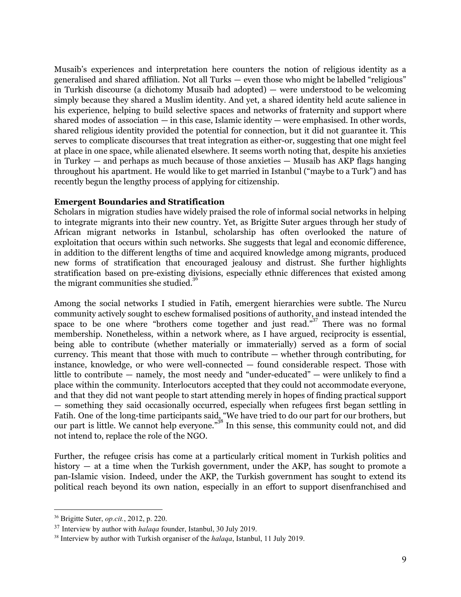Musaib's experiences and interpretation here counters the notion of religious identity as a generalised and shared affiliation. Not all Turks — even those who might be labelled "religious" in Turkish discourse (a dichotomy Musaib had adopted) — were understood to be welcoming simply because they shared a Muslim identity. And yet, a shared identity held acute salience in his experience, helping to build selective spaces and networks of fraternity and support where shared modes of association — in this case, Islamic identity — were emphasised. In other words, shared religious identity provided the potential for connection, but it did not guarantee it. This serves to complicate discourses that treat integration as either-or, suggesting that one might feel at place in one space, while alienated elsewhere. It seems worth noting that, despite his anxieties in Turkey — and perhaps as much because of those anxieties — Musaib has AKP flags hanging throughout his apartment. He would like to get married in Istanbul ("maybe to a Turk") and has recently begun the lengthy process of applying for citizenship.

### **Emergent Boundaries and Stratification**

Scholars in migration studies have widely praised the role of informal social networks in helping to integrate migrants into their new country. Yet, as Brigitte Suter argues through her study of African migrant networks in Istanbul, scholarship has often overlooked the nature of exploitation that occurs within such networks. She suggests that legal and economic difference, in addition to the different lengths of time and acquired knowledge among migrants, produced new forms of stratification that encouraged jealousy and distrust. She further highlights stratification based on pre-existing divisions, especially ethnic differences that existed among the migrant communities she studied. 36

Among the social networks I studied in Fatih, emergent hierarchies were subtle. The Nurcu community actively sought to eschew formalised positions of authority, and instead intended the space to be one where "brothers come together and just read."<sup>37</sup> There was no formal membership. Nonetheless, within a network where, as I have argued, reciprocity is essential, being able to contribute (whether materially or immaterially) served as a form of social currency. This meant that those with much to contribute — whether through contributing, for instance, knowledge, or who were well-connected — found considerable respect. Those with little to contribute — namely, the most needy and "under-educated" — were unlikely to find a place within the community. Interlocutors accepted that they could not accommodate everyone, and that they did not want people to start attending merely in hopes of finding practical support — something they said occasionally occurred, especially when refugees first began settling in Fatih. One of the long-time participants said, "We have tried to do our part for our brothers, but our part is little. We cannot help everyone."<sup>38</sup> In this sense, this community could not, and did not intend to, replace the role of the NGO.

Further, the refugee crisis has come at a particularly critical moment in Turkish politics and history — at a time when the Turkish government, under the AKP, has sought to promote a pan-Islamic vision. Indeed, under the AKP, the Turkish government has sought to extend its political reach beyond its own nation, especially in an effort to support disenfranchised and

<sup>36</sup> Brigitte Suter, *op.cit.*, 2012, p. 220.

<sup>37</sup> Interview by author with *halaqa* founder, Istanbul, 30 July 2019.

<sup>38</sup> Interview by author with Turkish organiser of the *halaqa*, Istanbul, 11 July 2019.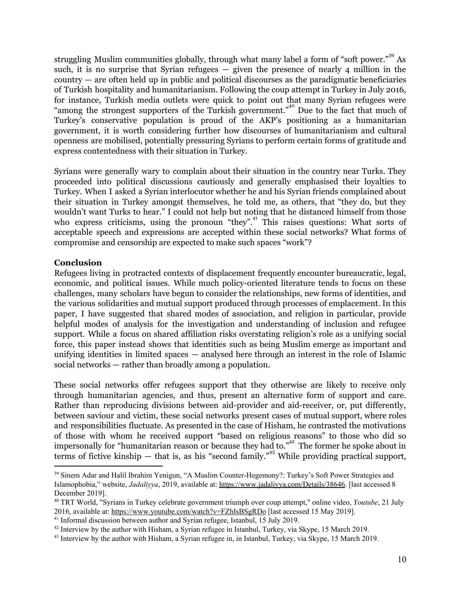struggling Muslim communities globally, through what many label a form of "soft power."<sup>39</sup> As such, it is no surprise that Syrian refugees  $-$  given the presence of nearly 4 million in the country — are often held up in public and political discourses as the paradigmatic beneficiaries of Turkish hospitality and humanitarianism. Following the coup attempt in Turkey in July 2016, for instance, Turkish media outlets were quick to point out that many Syrian refugees were "among the strongest supporters of the Turkish government."<sup>40</sup> Due to the fact that much of Turkey's conservative population is proud of the AKP's positioning as a humanitarian government, it is worth considering further how discourses of humanitarianism and cultural openness are mobilised, potentially pressuring Syrians to perform certain forms of gratitude and express contentedness with their situation in Turkey.

Syrians were generally wary to complain about their situation in the country near Turks. They proceeded into political discussions cautiously and generally emphasised their loyalties to Turkey. When I asked a Syrian interlocutor whether he and his Syrian friends complained about their situation in Turkey amongst themselves, he told me, as others, that "they do, but they wouldn't want Turks to hear." I could not help but noting that he distanced himself from those who express criticisms, using the pronoun "they".<sup>41</sup> This raises questions: What sorts of acceptable speech and expressions are accepted within these social networks? What forms of compromise and censorship are expected to make such spaces "work"?

# **Conclusion**

Refugees living in protracted contexts of displacement frequently encounter bureaucratic, legal, economic, and political issues. While much policy-oriented literature tends to focus on these challenges, many scholars have begun to consider the relationships, new forms of identities, and the various solidarities and mutual support produced through processes of emplacement. In this paper, I have suggested that shared modes of association, and religion in particular, provide helpful modes of analysis for the investigation and understanding of inclusion and refugee support. While a focus on shared affiliation risks overstating religion's role as a unifying social force, this paper instead shows that identities such as being Muslim emerge as important and unifying identities in limited spaces — analysed here through an interest in the role of Islamic social networks — rather than broadly among a population.

These social networks offer refugees support that they otherwise are likely to receive only through humanitarian agencies, and thus, present an alternative form of support and care. Rather than reproducing divisions between aid-provider and aid-receiver, or, put differently, between saviour and victim, these social networks present cases of mutual support, where roles and responsibilities fluctuate. As presented in the case of Hisham, he contrasted the motivations of those with whom he received support "based on religious reasons" to those who did so impersonally for "humanitarian reason or because they had to."<sup>42</sup> The former he spoke about in terms of fictive kinship  $-$  that is, as his "second family."<sup>43</sup> While providing practical support,

<sup>39</sup> Sinem Adar and Halil Ibrahim Yenigun, "A Muslim Counter-Hegemony?: Turkey's Soft Power Strategies and Islamophobia," website, *Jadaliyya*, 2019, available at: <https://www.jadaliyya.com/Details/38646>. [last accessed 8 December 2019].

<sup>40</sup> TRT World, "Syrians in Turkey celebrate government triumph over coup attempt," online video, *Youtube*, 21 July 2016, available at: <https://www.youtube.com/watch?v=FZhIsBSgRDo> [last accessed 15 May 2019].

<sup>41</sup> Informal discussion between author and Syrian refugee, Istanbul, 15 July 2019.

<sup>42</sup> Interview by the author with Hisham, a Syrian refugee in Istanbul, Turkey, via Skype, 15 March 2019.

<sup>43</sup> Interview by the author with Hisham, a Syrian refugee in, in Istanbul, Turkey, via Skype, 15 March 2019.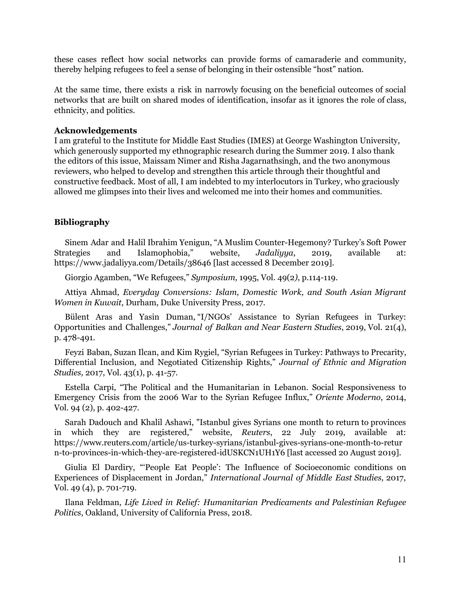these cases reflect how social networks can provide forms of camaraderie and community, thereby helping refugees to feel a sense of belonging in their ostensible "host" nation.

At the same time, there exists a risk in narrowly focusing on the beneficial outcomes of social networks that are built on shared modes of identification, insofar as it ignores the role of class, ethnicity, and politics.

#### **Acknowledgements**

I am grateful to the Institute for Middle East Studies (IMES) at George Washington University, which generously supported my ethnographic research during the Summer 2019. I also thank the editors of this issue, Maissam Nimer and Risha Jagarnathsingh, and the two anonymous reviewers, who helped to develop and strengthen this article through their thoughtful and constructive feedback. Most of all, I am indebted to my interlocutors in Turkey, who graciously allowed me glimpses into their lives and welcomed me into their homes and communities.

#### **Bibliography**

Sinem Adar and Halil Ibrahim Yenigun, "A Muslim Counter-Hegemony? Turkey's Soft Power Strategies and Islamophobia," website, *Jadaliyya*, 2019, available at: <https://www.jadaliyya.com/Details/38646> [last accessed 8 December 2019].

Giorgio Agamben, "We Refugees," *Symposium,* 1995, Vol. 49(2*)*, p.114-119.

Attiya Ahmad, *Everyday Conversions: Islam, Domestic Work, and South Asian Migrant Women in Kuwait*, Durham, Duke University Press, 2017.

Bülent Aras and Yasin Duman, "I/NGOs' Assistance to Syrian Refugees in Turkey: Opportunities and Challenges," *Journal of Balkan and Near Eastern Studies*, 2019, Vol. 21(4), p. 478-491.

Feyzi Baban, Suzan Ilcan, and Kim Rygiel, "Syrian Refugees in Turkey: Pathways to Precarity, Differential Inclusion, and Negotiated Citizenship Rights," *Journal of Ethnic and Migration Studies,* 2017, Vol. 43(1), p. 41-57.

Estella Carpi, "The Political and the Humanitarian in Lebanon. Social Responsiveness to Emergency Crisis from the 2006 War to the Syrian Refugee Influx," *Oriente Moderno*, 2014, Vol. 94 (2), p. 402-427.

Sarah Dadouch and Khalil Ashawi, "Istanbul gives Syrians one month to return to provinces in which they are registered," website, *Reuters*, 22 July 2019, available at: https://www.reuters.com/article/us-turkey-syrians/istanbul-gives-syrians-one-month-to-retur n-to-provinces-in-which-they-are-registered-idUSKCN1UH1Y6 [last accessed 20 August 2019].

Giulia El Dardiry, "'People Eat People': The Influence of Socioeconomic conditions on Experiences of Displacement in Jordan," *International Journal of Middle East Studies,* 2017, Vol. 49 (4), p. 701-719.

Ilana Feldman, *Life Lived in Relief: Humanitarian Predicaments and Palestinian Refugee Politics*, Oakland, University of California Press, 2018.